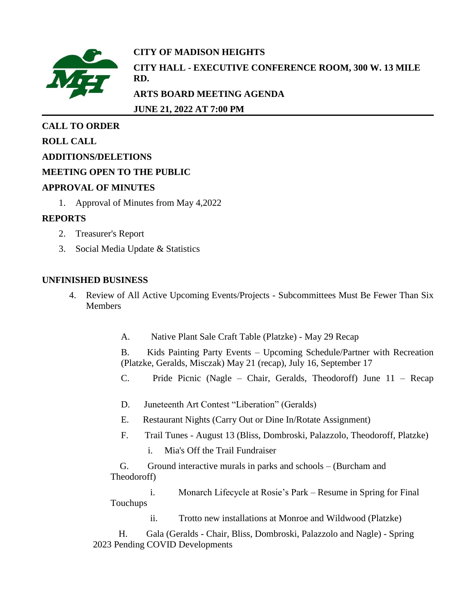

# **CITY OF MADISON HEIGHTS CITY HALL - EXECUTIVE CONFERENCE ROOM, 300 W. 13 MILE**

**ARTS BOARD MEETING AGENDA**

**JUNE 21, 2022 AT 7:00 PM**

### **CALL TO ORDER**

**ROLL CALL**

**ADDITIONS/DELETIONS**

### **MEETING OPEN TO THE PUBLIC**

#### **APPROVAL OF MINUTES**

1. Approval of Minutes from May 4,2022

**RD.**

### **REPORTS**

- 2. Treasurer's Report
- 3. Social Media Update & Statistics

### **UNFINISHED BUSINESS**

- 4. Review of All Active Upcoming Events/Projects Subcommittees Must Be Fewer Than Six **Members** 
	- A. Native Plant Sale Craft Table (Platzke) May 29 Recap

B. Kids Painting Party Events – Upcoming Schedule/Partner with Recreation (Platzke, Geralds, Misczak) May 21 (recap), July 16, September 17

- C. Pride Picnic (Nagle Chair, Geralds, Theodoroff) June 11 Recap
- D. Juneteenth Art Contest "Liberation" (Geralds)
- E. Restaurant Nights (Carry Out or Dine In/Rotate Assignment)
- F. Trail Tunes August 13 (Bliss, Dombroski, Palazzolo, Theodoroff, Platzke)
	- i. Mia's Off the Trail Fundraiser

G. Ground interactive murals in parks and schools – (Burcham and Theodoroff)

i. Monarch Lifecycle at Rosie's Park – Resume in Spring for Final Touchups

ii. Trotto new installations at Monroe and Wildwood (Platzke)

H. Gala (Geralds - Chair, Bliss, Dombroski, Palazzolo and Nagle) - Spring 2023 Pending COVID Developments